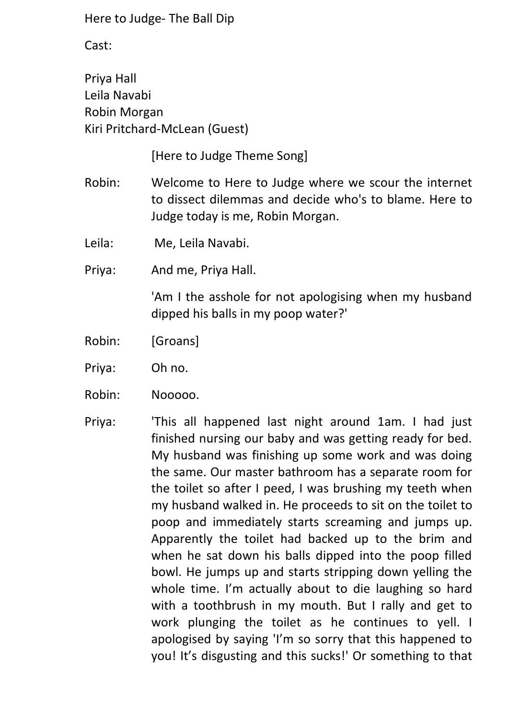Cast:

Priya Hall Leila Navabi Robin Morgan Kiri Pritchard-McLean (Guest)

[Here to Judge Theme Song]

- Robin: Welcome to Here to Judge where we scour the internet to dissect dilemmas and decide who's to blame. Here to Judge today is me, Robin Morgan.
- Leila: Me, Leila Navabi.
- Priya: And me, Priya Hall.

'Am I the asshole for not apologising when my husband dipped his balls in my poop water?'

- Robin: [Groans]
- Priya: Oh no.
- Robin: Nooooo.
- Priya: 'This all happened last night around 1am. I had just finished nursing our baby and was getting ready for bed. My husband was finishing up some work and was doing the same. Our master bathroom has a separate room for the toilet so after I peed, I was brushing my teeth when my husband walked in. He proceeds to sit on the toilet to poop and immediately starts screaming and jumps up. Apparently the toilet had backed up to the brim and when he sat down his balls dipped into the poop filled bowl. He jumps up and starts stripping down yelling the whole time. I'm actually about to die laughing so hard with a toothbrush in my mouth. But I rally and get to work plunging the toilet as he continues to yell. I apologised by saying 'I'm so sorry that this happened to you! It's disgusting and this sucks!' Or something to that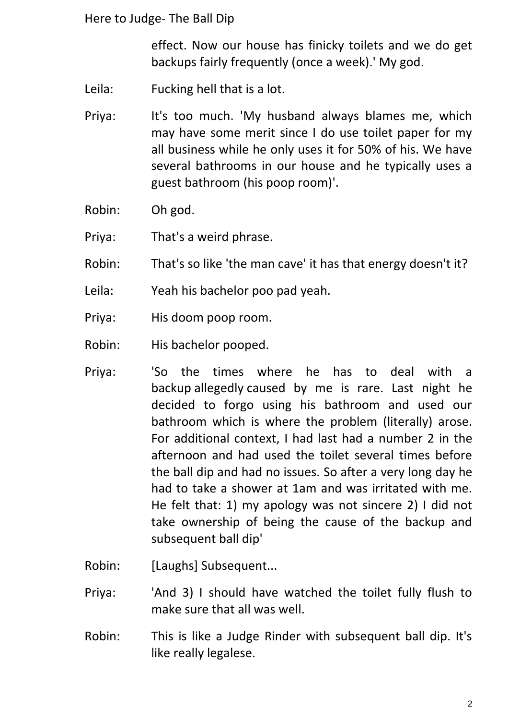effect. Now our house has finicky toilets and we do get backups fairly frequently (once a week).' My god.

- Leila: Fucking hell that is a lot.
- Priya: It's too much. 'My husband always blames me, which may have some merit since I do use toilet paper for my all business while he only uses it for 50% of his. We have several bathrooms in our house and he typically uses a guest bathroom (his poop room)'.
- Robin: Oh god.
- Priya: That's a weird phrase.
- Robin: That's so like 'the man cave' it has that energy doesn't it?
- Leila: Yeah his bachelor poo pad yeah.
- Priya: His doom poop room.
- Robin: His bachelor pooped.
- Priya: 'So the times where he has to deal with a backup allegedly caused by me is rare. Last night he decided to forgo using his bathroom and used our bathroom which is where the problem (literally) arose. For additional context, I had last had a number 2 in the afternoon and had used the toilet several times before the ball dip and had no issues. So after a very long day he had to take a shower at 1am and was irritated with me. He felt that: 1) my apology was not sincere 2) I did not take ownership of being the cause of the backup and subsequent ball dip'
- Robin: [Laughs] Subsequent...
- Priya: 'And 3) I should have watched the toilet fully flush to make sure that all was well.
- Robin: This is like a Judge Rinder with subsequent ball dip. It's like really legalese.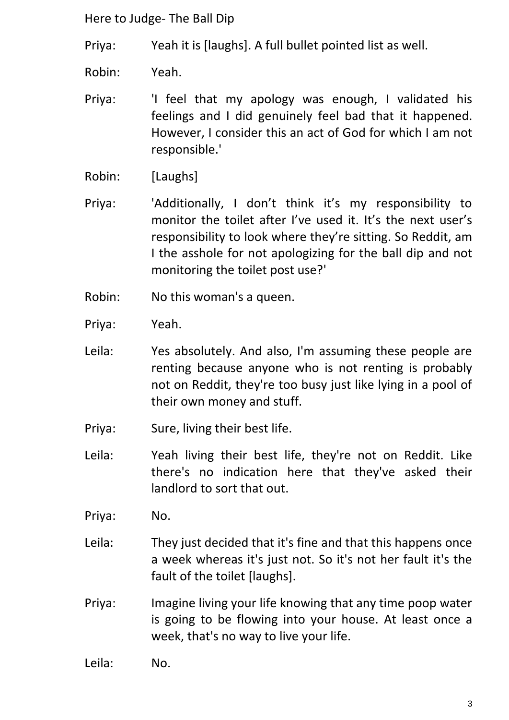Priya: Yeah it is [laughs]. A full bullet pointed list as well.

Robin: Yeah.

Priya: 'I feel that my apology was enough, I validated his feelings and I did genuinely feel bad that it happened. However, I consider this an act of God for which I am not responsible.'

Robin: [Laughs]

Priya: 'Additionally, I don't think it's my responsibility to monitor the toilet after I've used it. It's the next user's responsibility to look where they're sitting. So Reddit, am I the asshole for not apologizing for the ball dip and not monitoring the toilet post use?'

- Robin: No this woman's a queen.
- Priya: Yeah.
- Leila: Yes absolutely. And also, I'm assuming these people are renting because anyone who is not renting is probably not on Reddit, they're too busy just like lying in a pool of their own money and stuff.
- Priya: Sure, living their best life.
- Leila: Yeah living their best life, they're not on Reddit. Like there's no indication here that they've asked their landlord to sort that out.
- Priya: No.
- Leila: They just decided that it's fine and that this happens once a week whereas it's just not. So it's not her fault it's the fault of the toilet [laughs].
- Priya: Imagine living your life knowing that any time poop water is going to be flowing into your house. At least once a week, that's no way to live your life.
- Leila: No.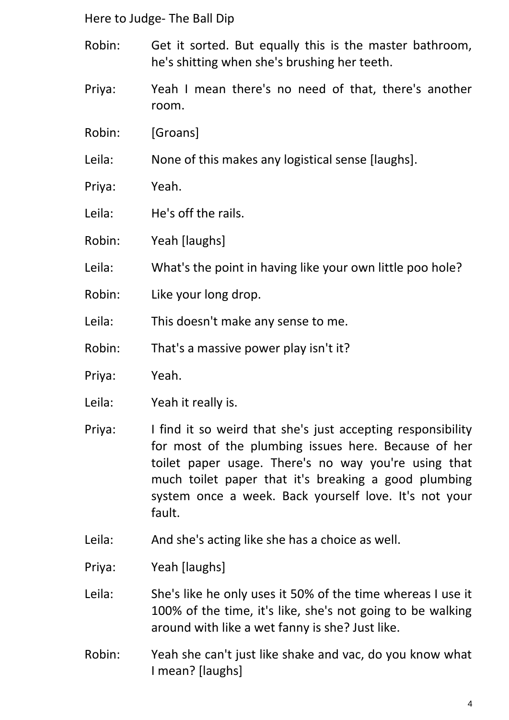- Robin: Get it sorted. But equally this is the master bathroom, he's shitting when she's brushing her teeth.
- Priya: Yeah I mean there's no need of that, there's another room.
- Robin: [Groans]
- Leila: None of this makes any logistical sense [laughs].
- Priya: Yeah.
- Leila: He's off the rails.
- Robin: Yeah [laughs]
- Leila: What's the point in having like your own little poo hole?
- Robin: Like your long drop.
- Leila: This doesn't make any sense to me.
- Robin: That's a massive power play isn't it?
- Priya: Yeah.
- Leila: Yeah it really is.
- Priya: I find it so weird that she's just accepting responsibility for most of the plumbing issues here. Because of her toilet paper usage. There's no way you're using that much toilet paper that it's breaking a good plumbing system once a week. Back yourself love. It's not your fault.
- Leila: And she's acting like she has a choice as well.
- Priya: Yeah [laughs]
- Leila: She's like he only uses it 50% of the time whereas I use it 100% of the time, it's like, she's not going to be walking around with like a wet fanny is she? Just like.
- Robin: Yeah she can't just like shake and vac, do you know what I mean? [laughs]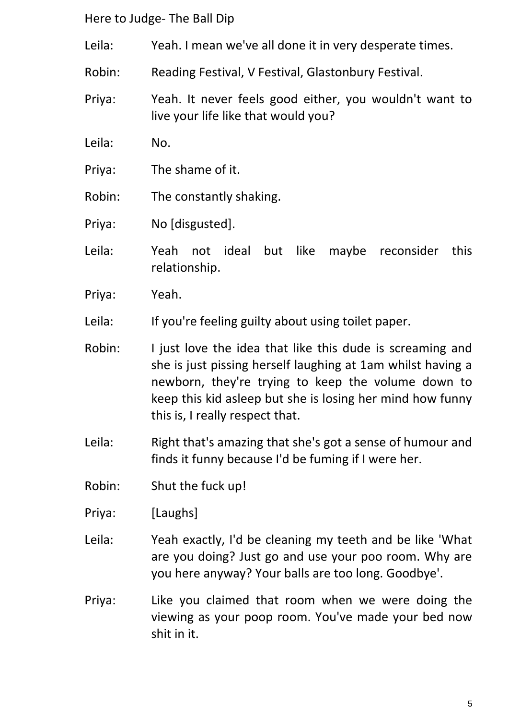- Leila: Yeah. I mean we've all done it in very desperate times.
- Robin: Reading Festival, V Festival, Glastonbury Festival.
- Priya: Yeah. It never feels good either, you wouldn't want to live your life like that would you?
- Leila: No.
- Priya: The shame of it.
- Robin: The constantly shaking.
- Priya: No [disgusted].
- Leila: Yeah not ideal but like maybe reconsider this relationship.
- Priya: Yeah.
- Leila: If you're feeling guilty about using toilet paper.
- Robin: I just love the idea that like this dude is screaming and she is just pissing herself laughing at 1am whilst having a newborn, they're trying to keep the volume down to keep this kid asleep but she is losing her mind how funny this is, I really respect that.
- Leila: Right that's amazing that she's got a sense of humour and finds it funny because I'd be fuming if I were her.
- Robin: Shut the fuck up!
- Priya: [Laughs]
- Leila: Yeah exactly, I'd be cleaning my teeth and be like 'What are you doing? Just go and use your poo room. Why are you here anyway? Your balls are too long. Goodbye'.
- Priya: Like you claimed that room when we were doing the viewing as your poop room. You've made your bed now shit in it.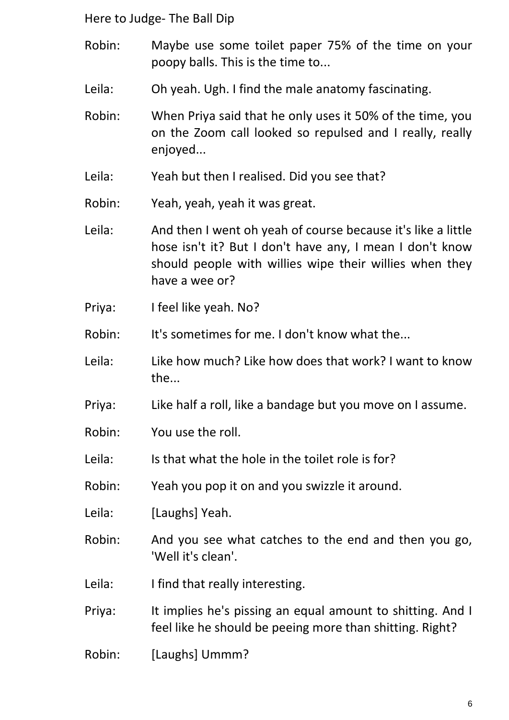- Robin: Maybe use some toilet paper 75% of the time on your poopy balls. This is the time to...
- Leila: Oh yeah. Ugh. I find the male anatomy fascinating.
- Robin: When Priya said that he only uses it 50% of the time, you on the Zoom call looked so repulsed and I really, really enjoyed...
- Leila: Yeah but then I realised. Did you see that?
- Robin: Yeah, yeah, yeah it was great.
- Leila: And then I went oh yeah of course because it's like a little hose isn't it? But I don't have any, I mean I don't know should people with willies wipe their willies when they have a wee or?
- Priya: I feel like yeah. No?
- Robin: It's sometimes for me. I don't know what the...
- Leila: Like how much? Like how does that work? I want to know the...
- Priya: Like half a roll, like a bandage but you move on I assume.
- Robin: You use the roll.
- Leila: Is that what the hole in the toilet role is for?
- Robin: Yeah you pop it on and you swizzle it around.
- Leila: [Laughs] Yeah.
- Robin: And you see what catches to the end and then you go, 'Well it's clean'.
- Leila: I find that really interesting.
- Priya: It implies he's pissing an equal amount to shitting. And I feel like he should be peeing more than shitting. Right?
- Robin: [Laughs] Ummm?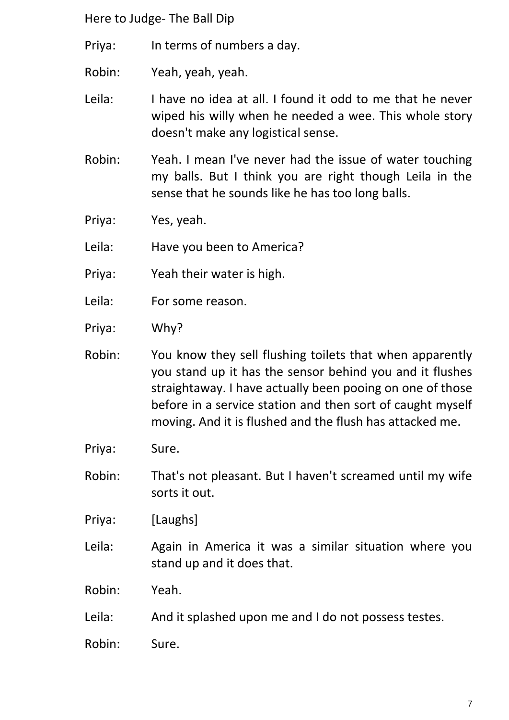Priya: In terms of numbers a day.

Robin: Yeah, yeah, yeah.

Leila: I have no idea at all. I found it odd to me that he never wiped his willy when he needed a wee. This whole story doesn't make any logistical sense.

Robin: Yeah. I mean I've never had the issue of water touching my balls. But I think you are right though Leila in the sense that he sounds like he has too long balls.

Priya: Yes, yeah.

Leila: Have you been to America?

- Priya: Yeah their water is high.
- Leila: For some reason.
- Priya: Why?
- Robin: You know they sell flushing toilets that when apparently you stand up it has the sensor behind you and it flushes straightaway. I have actually been pooing on one of those before in a service station and then sort of caught myself moving. And it is flushed and the flush has attacked me.
- Priya: Sure.
- Robin: That's not pleasant. But I haven't screamed until my wife sorts it out.

Priya: [Laughs]

Leila: Again in America it was a similar situation where you stand up and it does that.

Robin: Yeah.

- Leila: And it splashed upon me and I do not possess testes.
- Robin: Sure.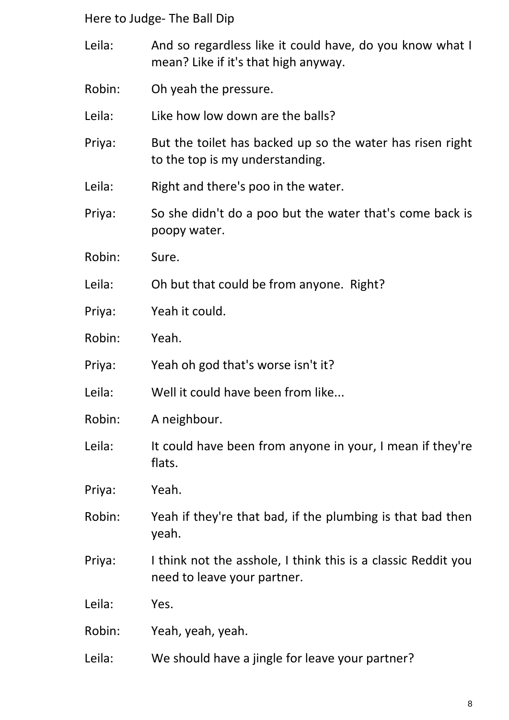- Leila: And so regardless like it could have, do you know what I mean? Like if it's that high anyway.
- Robin: Oh yeah the pressure.
- Leila: Like how low down are the balls?
- Priya: But the toilet has backed up so the water has risen right to the top is my understanding.
- Leila: Right and there's poo in the water.
- Priya: So she didn't do a poo but the water that's come back is poopy water.
- Robin: Sure.
- Leila: Oh but that could be from anyone. Right?
- Priya: Yeah it could.
- Robin: Yeah.
- Priya: Yeah oh god that's worse isn't it?
- Leila: Well it could have been from like...
- Robin: A neighbour.
- Leila: It could have been from anyone in your, I mean if they're flats.
- Priya: Yeah.
- Robin: Yeah if they're that bad, if the plumbing is that bad then yeah.
- Priya: I think not the asshole, I think this is a classic Reddit you need to leave your partner.
- Leila: Yes.
- Robin: Yeah, yeah, yeah.
- Leila: We should have a jingle for leave your partner?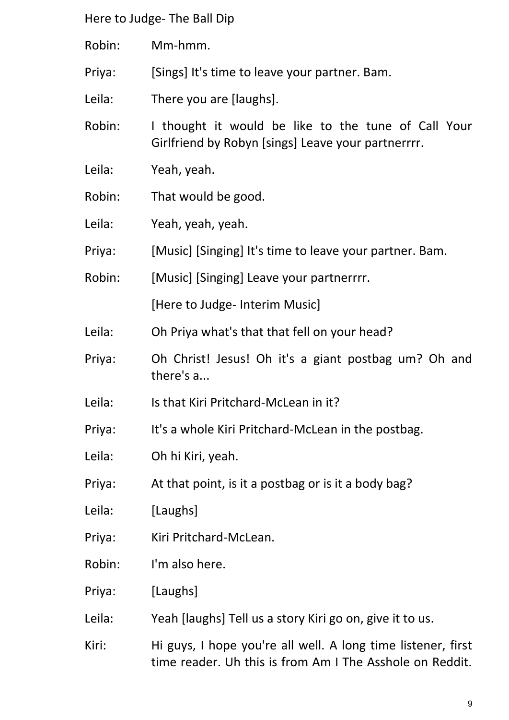Robin: Mm-hmm.

Priya: [Sings] It's time to leave your partner. Bam.

Leila: There you are [laughs].

Robin: I thought it would be like to the tune of Call Your Girlfriend by Robyn [sings] Leave your partnerrrr.

- Leila: Yeah, yeah.
- Robin: That would be good.
- Leila: Yeah, yeah, yeah.
- Priya: [Music] [Singing] It's time to leave your partner. Bam.
- Robin: [Music] [Singing] Leave your partnerrrr.

[Here to Judge- Interim Music]

- Leila: Oh Priya what's that that fell on your head?
- Priya: Oh Christ! Jesus! Oh it's a giant postbag um? Oh and there's a...
- Leila: Is that Kiri Pritchard-McLean in it?
- Priya: It's a whole Kiri Pritchard-McLean in the postbag.
- Leila: Oh hi Kiri, yeah.
- Priya: At that point, is it a postbag or is it a body bag?
- Leila: [Laughs]
- Priya: Kiri Pritchard-McLean.
- Robin: I'm also here.
- Priya: [Laughs]
- Leila: Yeah [laughs] Tell us a story Kiri go on, give it to us.
- Kiri: Hi guys, I hope you're all well. A long time listener, first time reader. Uh this is from Am I The Asshole on Reddit.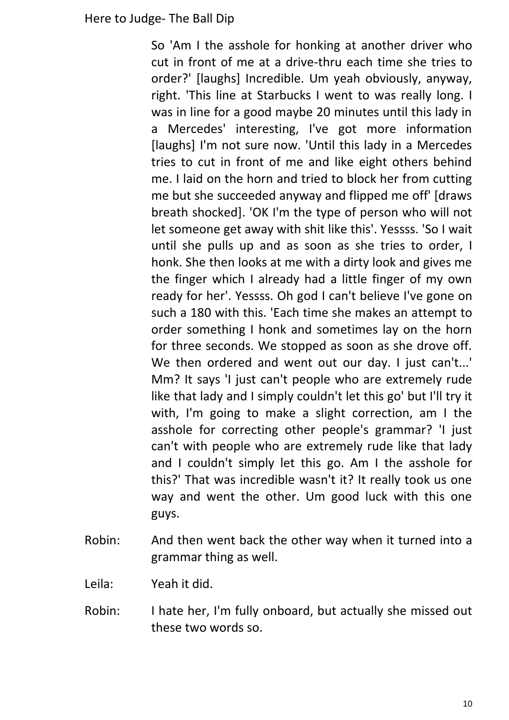So 'Am I the asshole for honking at another driver who cut in front of me at a drive-thru each time she tries to order?' [laughs] Incredible. Um yeah obviously, anyway, right. 'This line at Starbucks I went to was really long. I was in line for a good maybe 20 minutes until this lady in a Mercedes' interesting, I've got more information [laughs] I'm not sure now. 'Until this lady in a Mercedes tries to cut in front of me and like eight others behind me. I laid on the horn and tried to block her from cutting me but she succeeded anyway and flipped me off' [draws breath shocked]. 'OK I'm the type of person who will not let someone get away with shit like this'. Yessss. 'So I wait until she pulls up and as soon as she tries to order, I honk. She then looks at me with a dirty look and gives me the finger which I already had a little finger of my own ready for her'. Yessss. Oh god I can't believe I've gone on such a 180 with this. 'Each time she makes an attempt to order something I honk and sometimes lay on the horn for three seconds. We stopped as soon as she drove off. We then ordered and went out our day. I just can't...' Mm? It says 'I just can't people who are extremely rude like that lady and I simply couldn't let this go' but I'll try it with, I'm going to make a slight correction, am I the asshole for correcting other people's grammar? 'I just can't with people who are extremely rude like that lady and I couldn't simply let this go. Am I the asshole for this?' That was incredible wasn't it? It really took us one way and went the other. Um good luck with this one guys.

- Robin: And then went back the other way when it turned into a grammar thing as well.
- Leila: Yeah it did.
- Robin: I hate her, I'm fully onboard, but actually she missed out these two words so.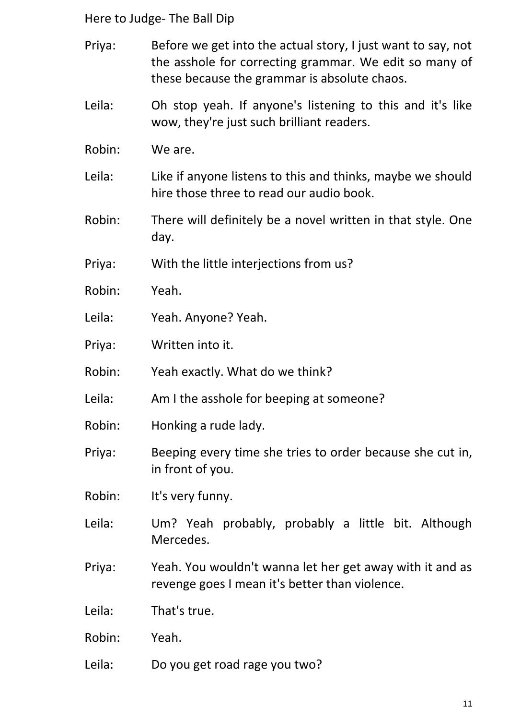- Priya: Before we get into the actual story, I just want to say, not the asshole for correcting grammar. We edit so many of these because the grammar is absolute chaos.
- Leila: Oh stop yeah. If anyone's listening to this and it's like wow, they're just such brilliant readers.
- Robin: We are.
- Leila: Like if anyone listens to this and thinks, maybe we should hire those three to read our audio book.
- Robin: There will definitely be a novel written in that style. One day.
- Priya: With the little interjections from us?
- Robin: Yeah.
- Leila: Yeah. Anyone? Yeah.
- Priya: Written into it.
- Robin: Yeah exactly. What do we think?
- Leila: Am I the asshole for beeping at someone?
- Robin: Honking a rude lady.
- Priya: Beeping every time she tries to order because she cut in, in front of you.
- Robin: It's very funny.
- Leila: Um? Yeah probably, probably a little bit. Although Mercedes.
- Priya: Yeah. You wouldn't wanna let her get away with it and as revenge goes I mean it's better than violence.

Leila: That's true.

- Robin: Yeah.
- Leila: Do you get road rage you two?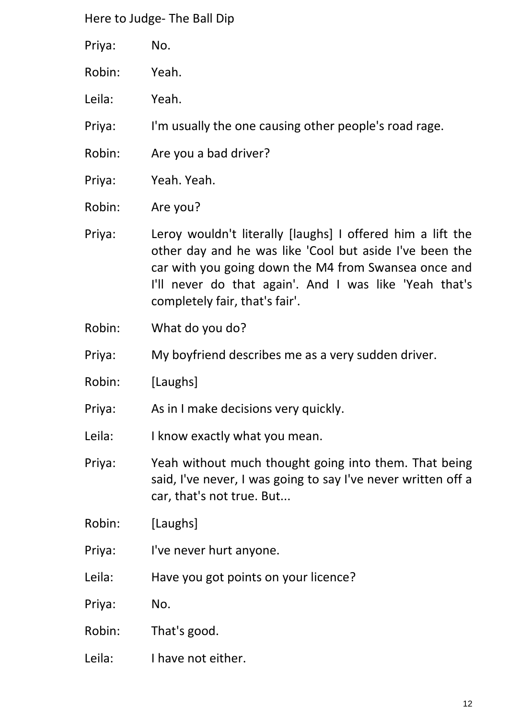- Priya: No.
- Robin: Yeah.
- Leila: Yeah.

Priya: I'm usually the one causing other people's road rage.

- Robin: Are you a bad driver?
- Priya: Yeah. Yeah.
- Robin: Are you?

Priya: Leroy wouldn't literally [laughs] I offered him a lift the other day and he was like 'Cool but aside I've been the car with you going down the M4 from Swansea once and I'll never do that again'. And I was like 'Yeah that's completely fair, that's fair'.

- Robin: What do you do?
- Priya: My boyfriend describes me as a very sudden driver.
- Robin: [Laughs]
- Priya: As in I make decisions very quickly.

Leila: I know exactly what you mean.

- Priya: Yeah without much thought going into them. That being said, I've never, I was going to say I've never written off a car, that's not true. But...
- Robin: [Laughs]
- Priya: I've never hurt anyone.
- Leila: Have you got points on your licence?
- Priya: No.
- Robin: That's good.
- Leila: I have not either.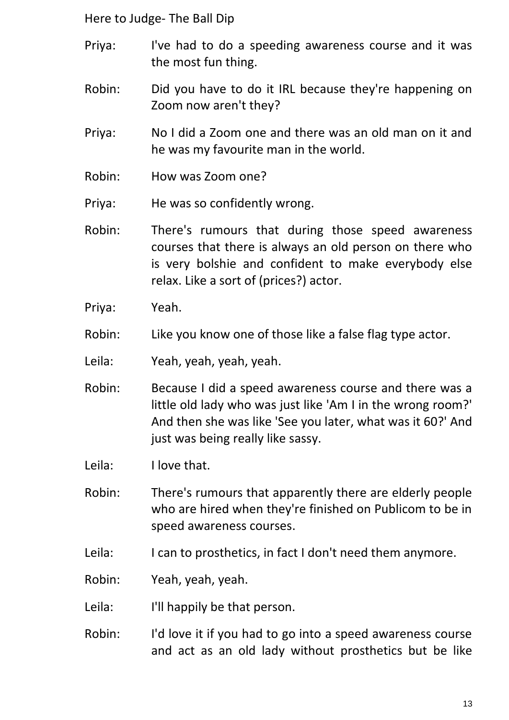- Priya: I've had to do a speeding awareness course and it was the most fun thing.
- Robin: Did you have to do it IRL because they're happening on Zoom now aren't they?
- Priya: No I did a Zoom one and there was an old man on it and he was my favourite man in the world.
- Robin: How was Zoom one?
- Priya: He was so confidently wrong.
- Robin: There's rumours that during those speed awareness courses that there is always an old person on there who is very bolshie and confident to make everybody else relax. Like a sort of (prices?) actor.
- Priya: Yeah.
- Robin: Like you know one of those like a false flag type actor.
- Leila: Yeah, yeah, yeah, yeah.
- Robin: Because I did a speed awareness course and there was a little old lady who was just like 'Am I in the wrong room?' And then she was like 'See you later, what was it 60?' And just was being really like sassy.
- Leila: I love that.
- Robin: There's rumours that apparently there are elderly people who are hired when they're finished on Publicom to be in speed awareness courses.
- Leila: I can to prosthetics, in fact I don't need them anymore.
- Robin: Yeah, yeah, yeah.
- Leila: I'll happily be that person.
- Robin: I'd love it if you had to go into a speed awareness course and act as an old lady without prosthetics but be like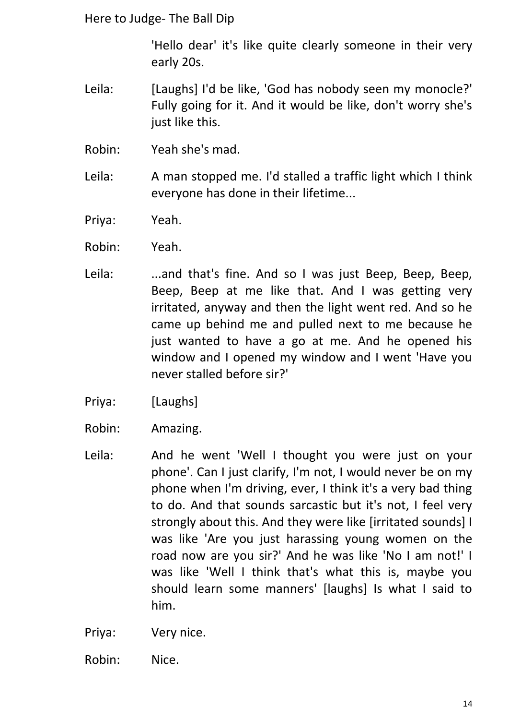'Hello dear' it's like quite clearly someone in their very early 20s.

- Leila: [Laughs] I'd be like. 'God has nobody seen my monocle?' Fully going for it. And it would be like, don't worry she's just like this.
- Robin: Yeah she's mad.
- Leila: A man stopped me. I'd stalled a traffic light which I think everyone has done in their lifetime...
- Priya: Yeah.
- Robin: Yeah.
- Leila: ...and that's fine. And so I was just Beep, Beep, Beep, Beep, Beep at me like that. And I was getting very irritated, anyway and then the light went red. And so he came up behind me and pulled next to me because he just wanted to have a go at me. And he opened his window and I opened my window and I went 'Have you never stalled before sir?'
- Priya: [Laughs]
- Robin: Amazing.
- Leila: And he went 'Well I thought you were just on your phone'. Can I just clarify, I'm not, I would never be on my phone when I'm driving, ever, I think it's a very bad thing to do. And that sounds sarcastic but it's not, I feel very strongly about this. And they were like [irritated sounds] I was like 'Are you just harassing young women on the road now are you sir?' And he was like 'No I am not!' I was like 'Well I think that's what this is, maybe you should learn some manners' [laughs] Is what I said to him.
- Priya: Very nice.
- Robin: Nice.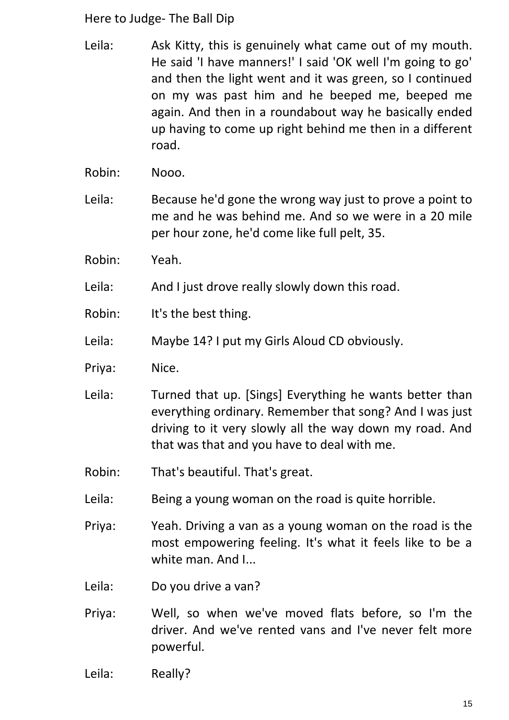- Leila: Ask Kitty, this is genuinely what came out of my mouth. He said 'I have manners!' I said 'OK well I'm going to go' and then the light went and it was green, so I continued on my was past him and he beeped me, beeped me again. And then in a roundabout way he basically ended up having to come up right behind me then in a different road.
- Robin: Nooo.
- Leila: Because he'd gone the wrong way just to prove a point to me and he was behind me. And so we were in a 20 mile per hour zone, he'd come like full pelt, 35.
- Robin: Yeah.
- Leila: And I just drove really slowly down this road.
- Robin: It's the best thing.
- Leila: Maybe 14? I put my Girls Aloud CD obviously.
- Priya: Nice.
- Leila: Turned that up. [Sings] Everything he wants better than everything ordinary. Remember that song? And I was just driving to it very slowly all the way down my road. And that was that and you have to deal with me.
- Robin: That's beautiful. That's great.
- Leila: Being a young woman on the road is quite horrible.
- Priya: Yeah. Driving a van as a young woman on the road is the most empowering feeling. It's what it feels like to be a white man. And I...
- Leila: Do you drive a van?
- Priya: Well, so when we've moved flats before, so I'm the driver. And we've rented vans and I've never felt more powerful.
- Leila: Really?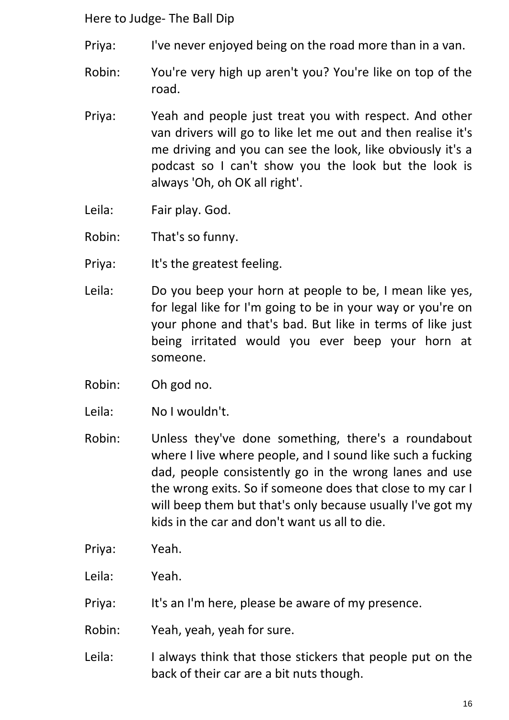- Priya: I've never enjoyed being on the road more than in a van.
- Robin: You're very high up aren't you? You're like on top of the road.
- Priya: Yeah and people just treat you with respect. And other van drivers will go to like let me out and then realise it's me driving and you can see the look, like obviously it's a podcast so I can't show you the look but the look is always 'Oh, oh OK all right'.
- Leila: Fair play. God.
- Robin: That's so funny.
- Priya: It's the greatest feeling.
- Leila: Do you beep your horn at people to be, I mean like yes, for legal like for I'm going to be in your way or you're on your phone and that's bad. But like in terms of like just being irritated would you ever beep your horn at someone.
- Robin: Oh god no.
- Leila: No I wouldn't.
- Robin: Unless they've done something, there's a roundabout where I live where people, and I sound like such a fucking dad, people consistently go in the wrong lanes and use the wrong exits. So if someone does that close to my car I will beep them but that's only because usually I've got my kids in the car and don't want us all to die.
- Priya: Yeah.
- Leila: Yeah.
- Priya: It's an I'm here, please be aware of my presence.
- Robin: Yeah, yeah, yeah for sure.
- Leila: I always think that those stickers that people put on the back of their car are a bit nuts though.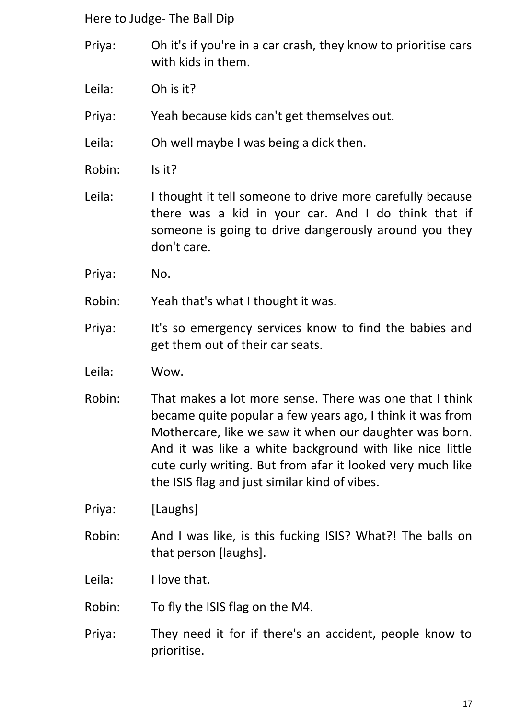- Priya: Oh it's if you're in a car crash, they know to prioritise cars with kids in them.
- Leila: Oh is it?
- Priya: Yeah because kids can't get themselves out.
- Leila: Oh well maybe I was being a dick then.
- Robin: Is it?
- Leila: I thought it tell someone to drive more carefully because there was a kid in your car. And I do think that if someone is going to drive dangerously around you they don't care.
- Priya: No.
- Robin: Yeah that's what I thought it was.
- Priya: It's so emergency services know to find the babies and get them out of their car seats.
- Leila: Wow.
- Robin: That makes a lot more sense. There was one that I think became quite popular a few years ago, I think it was from Mothercare, like we saw it when our daughter was born. And it was like a white background with like nice little cute curly writing. But from afar it looked very much like the ISIS flag and just similar kind of vibes.
- Priya: [Laughs]
- Robin: And I was like, is this fucking ISIS? What?! The balls on that person [laughs].

Leila: I love that.

- Robin: To fly the ISIS flag on the M4.
- Priya: They need it for if there's an accident, people know to prioritise.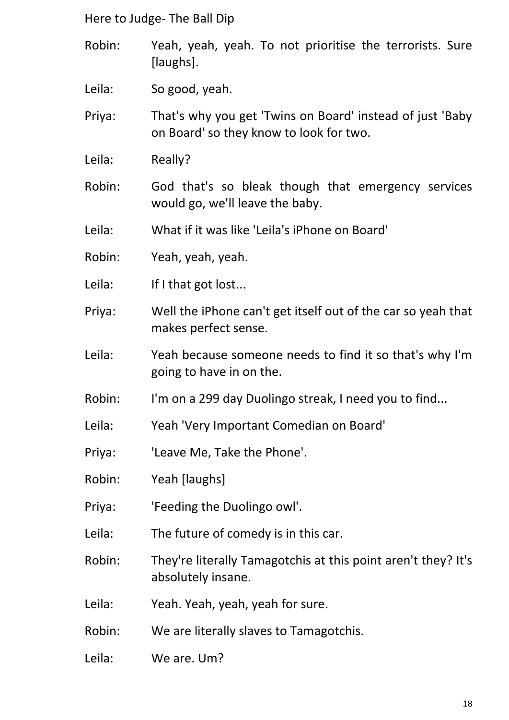- Robin: Yeah, yeah, yeah. To not prioritise the terrorists. Sure [laughs].
- Leila: So good, yeah.
- Priya: That's why you get 'Twins on Board' instead of just 'Baby on Board' so they know to look for two.
- Leila: Really?
- Robin: God that's so bleak though that emergency services would go, we'll leave the baby.
- Leila: What if it was like 'Leila's iPhone on Board'
- Robin: Yeah, yeah, yeah.
- Leila: If I that got lost...
- Priya: Well the iPhone can't get itself out of the car so yeah that makes perfect sense.
- Leila: Yeah because someone needs to find it so that's why I'm going to have in on the.
- Robin: I'm on a 299 day Duolingo streak, I need you to find...
- Leila: Yeah 'Very Important Comedian on Board'
- Priya: 'Leave Me, Take the Phone'.
- Robin: Yeah [laughs]
- Priya: 'Feeding the Duolingo owl'.
- Leila: The future of comedy is in this car.
- Robin: They're literally Tamagotchis at this point aren't they? It's absolutely insane.
- Leila: Yeah. Yeah, yeah, yeah for sure.
- Robin: We are literally slaves to Tamagotchis.
- Leila: We are. Um?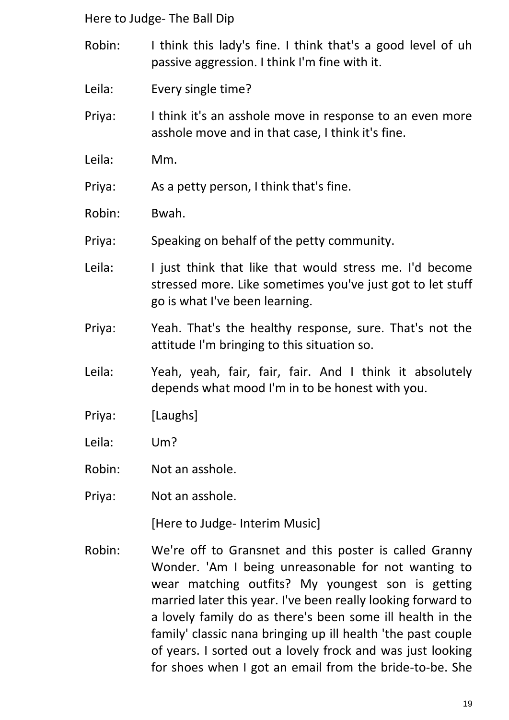- Robin: I think this lady's fine. I think that's a good level of uh passive aggression. I think I'm fine with it.
- Leila: Every single time?
- Priya: I think it's an asshole move in response to an even more asshole move and in that case, I think it's fine.
- Leila: Mm.

Priya: As a petty person, I think that's fine.

- Robin: Bwah.
- Priya: Speaking on behalf of the petty community.
- Leila: I just think that like that would stress me. I'd become stressed more. Like sometimes you've just got to let stuff go is what I've been learning.
- Priya: Yeah. That's the healthy response, sure. That's not the attitude I'm bringing to this situation so.
- Leila: Yeah, yeah, fair, fair, fair. And I think it absolutely depends what mood I'm in to be honest with you.
- Priya: [Laughs]
- Leila: Um?
- Robin: Not an asshole.
- Priya: Not an asshole.

[Here to Judge- Interim Music]

Robin: We're off to Gransnet and this poster is called Granny Wonder. 'Am I being unreasonable for not wanting to wear matching outfits? My youngest son is getting married later this year. I've been really looking forward to a lovely family do as there's been some ill health in the family' classic nana bringing up ill health 'the past couple of years. I sorted out a lovely frock and was just looking for shoes when I got an email from the bride-to-be. She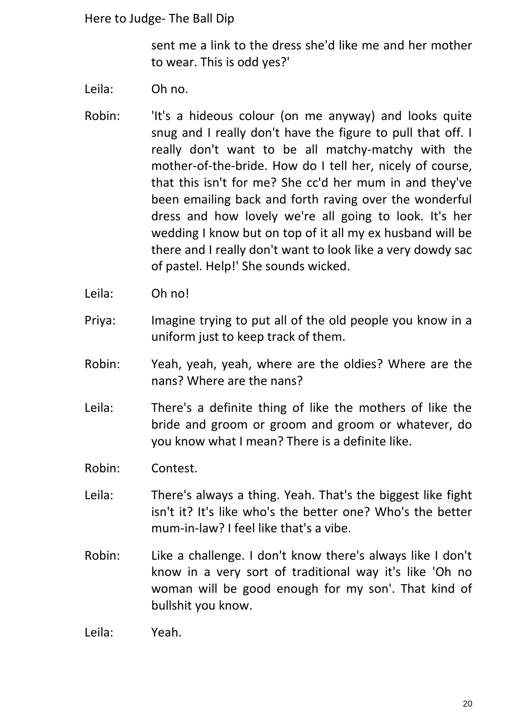sent me a link to the dress she'd like me and her mother to wear. This is odd yes?'

- Leila: Oh no.
- Robin: 'It's a hideous colour (on me anyway) and looks quite snug and I really don't have the figure to pull that off. I really don't want to be all matchy-matchy with the mother-of-the-bride. How do I tell her, nicely of course, that this isn't for me? She cc'd her mum in and they've been emailing back and forth raving over the wonderful dress and how lovely we're all going to look. It's her wedding I know but on top of it all my ex husband will be there and I really don't want to look like a very dowdy sac of pastel. Help!' She sounds wicked.
- Leila: Oh no!
- Priya: Imagine trying to put all of the old people you know in a uniform just to keep track of them.
- Robin: Yeah, yeah, yeah, where are the oldies? Where are the nans? Where are the nans?
- Leila: There's a definite thing of like the mothers of like the bride and groom or groom and groom or whatever, do you know what I mean? There is a definite like.
- Robin: Contest.
- Leila: There's always a thing. Yeah. That's the biggest like fight isn't it? It's like who's the better one? Who's the better mum-in-law? I feel like that's a vibe.
- Robin: Like a challenge. I don't know there's always like I don't know in a very sort of traditional way it's like 'Oh no woman will be good enough for my son'. That kind of bullshit you know.

Leila: Yeah.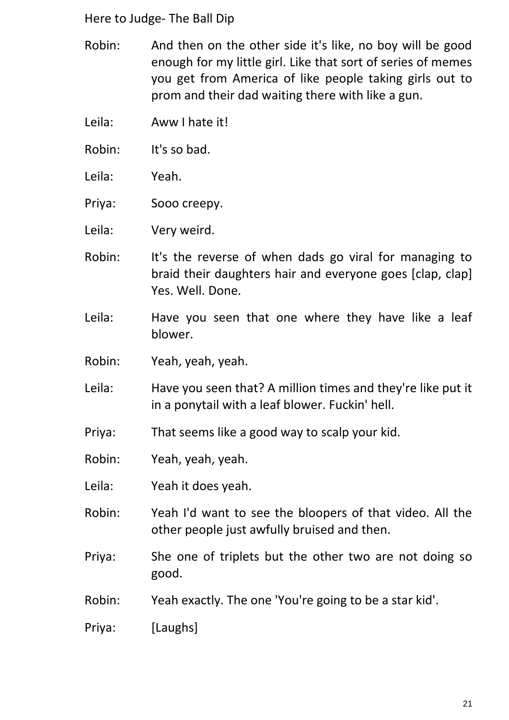- Robin: And then on the other side it's like, no boy will be good enough for my little girl. Like that sort of series of memes you get from America of like people taking girls out to prom and their dad waiting there with like a gun.
- Leila: Aww I hate it!
- Robin: It's so bad.
- Leila: Yeah.
- Priya: Sooo creepy.
- Leila: Very weird.
- Robin: It's the reverse of when dads go viral for managing to braid their daughters hair and everyone goes [clap, clap] Yes. Well. Done.
- Leila: Have you seen that one where they have like a leaf blower.
- Robin: Yeah, yeah, yeah.
- Leila: Have you seen that? A million times and they're like put it in a ponytail with a leaf blower. Fuckin' hell.
- Priya: That seems like a good way to scalp your kid.
- Robin: Yeah, yeah, yeah.
- Leila: Yeah it does yeah.
- Robin: Yeah I'd want to see the bloopers of that video. All the other people just awfully bruised and then.
- Priya: She one of triplets but the other two are not doing so good.
- Robin: Yeah exactly. The one 'You're going to be a star kid'.
- Priya: [Laughs]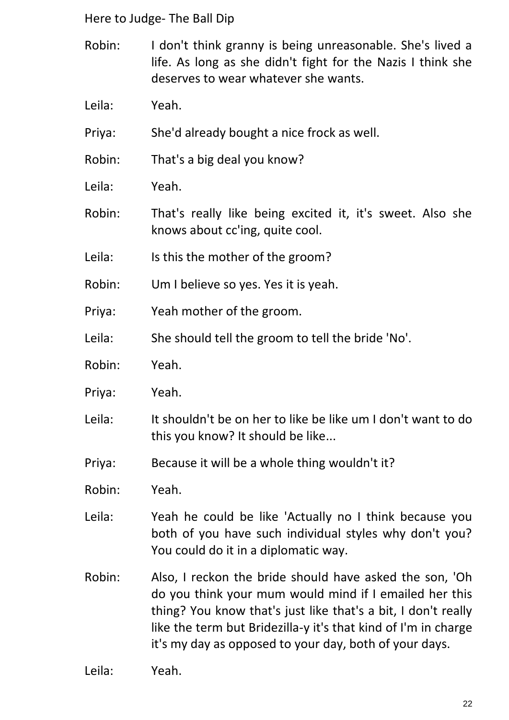- Robin: I don't think granny is being unreasonable. She's lived a life. As long as she didn't fight for the Nazis I think she deserves to wear whatever she wants.
- Leila: Yeah.
- Priya: She'd already bought a nice frock as well.
- Robin: That's a big deal you know?
- Leila: Yeah.
- Robin: That's really like being excited it, it's sweet. Also she knows about cc'ing, quite cool.
- Leila: Is this the mother of the groom?
- Robin: Um I believe so yes. Yes it is yeah.
- Priya: Yeah mother of the groom.
- Leila: She should tell the groom to tell the bride 'No'.
- Robin: Yeah.
- Priya: Yeah.
- Leila: It shouldn't be on her to like be like um I don't want to do this you know? It should be like...
- Priya: Because it will be a whole thing wouldn't it?
- Robin: Yeah.
- Leila: Yeah he could be like 'Actually no I think because you both of you have such individual styles why don't you? You could do it in a diplomatic way.
- Robin: Also, I reckon the bride should have asked the son, 'Oh do you think your mum would mind if I emailed her this thing? You know that's just like that's a bit, I don't really like the term but Bridezilla-y it's that kind of I'm in charge it's my day as opposed to your day, both of your days.

Leila: Yeah.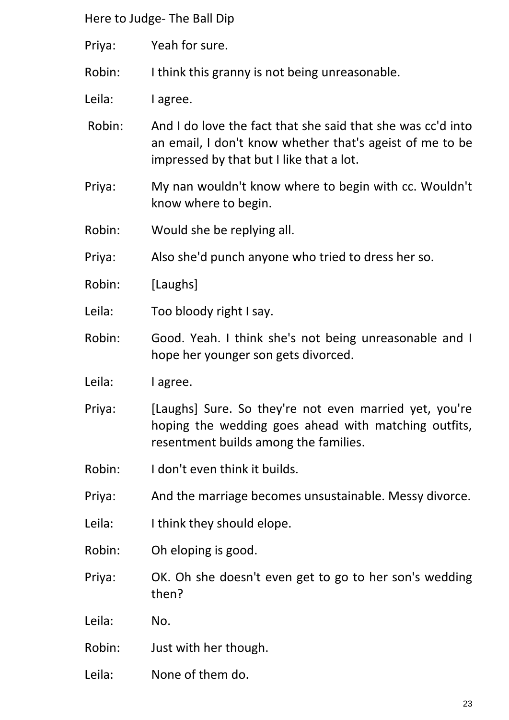- Priya: Yeah for sure.
- Robin: I think this granny is not being unreasonable.
- Leila: lagree.
- Robin: And I do love the fact that she said that she was cc'd into an email, I don't know whether that's ageist of me to be impressed by that but I like that a lot.
- Priya: My nan wouldn't know where to begin with cc. Wouldn't know where to begin.
- Robin: Would she be replying all.
- Priya: Also she'd punch anyone who tried to dress her so.
- Robin: [Laughs]
- Leila: Too bloody right I say.
- Robin: Good. Yeah. I think she's not being unreasonable and I hope her younger son gets divorced.
- Leila: lagree.
- Priya: [Laughs] Sure. So they're not even married yet, you're hoping the wedding goes ahead with matching outfits, resentment builds among the families.
- Robin: I don't even think it builds.
- Priya: And the marriage becomes unsustainable. Messy divorce.
- Leila: I think they should elope.
- Robin: Oh eloping is good.
- Priya: OK. Oh she doesn't even get to go to her son's wedding then?
- Leila: No.
- Robin: Just with her though.
- Leila: None of them do.